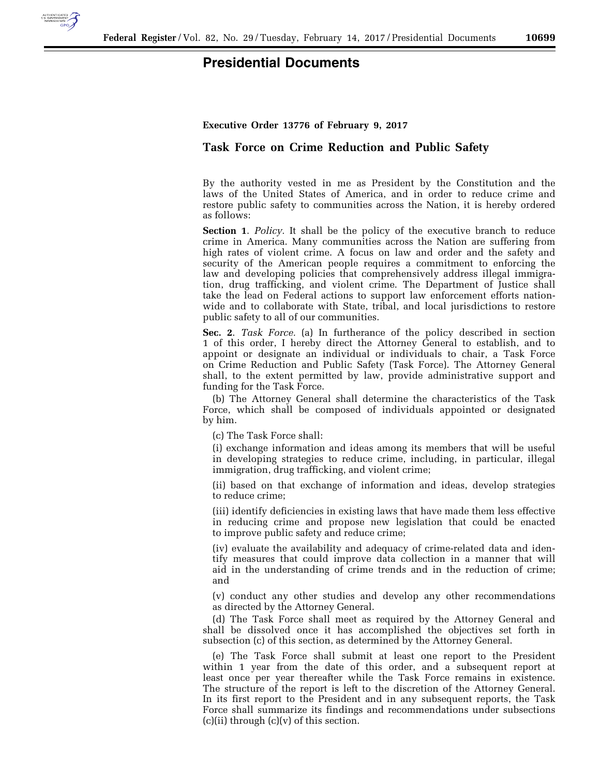

## **Presidential Documents**

**Executive Order 13776 of February 9, 2017** 

## **Task Force on Crime Reduction and Public Safety**

By the authority vested in me as President by the Constitution and the laws of the United States of America, and in order to reduce crime and restore public safety to communities across the Nation, it is hereby ordered as follows:

**Section 1**. *Policy.* It shall be the policy of the executive branch to reduce crime in America. Many communities across the Nation are suffering from high rates of violent crime. A focus on law and order and the safety and security of the American people requires a commitment to enforcing the law and developing policies that comprehensively address illegal immigration, drug trafficking, and violent crime. The Department of Justice shall take the lead on Federal actions to support law enforcement efforts nationwide and to collaborate with State, tribal, and local jurisdictions to restore public safety to all of our communities.

**Sec. 2**. *Task Force.* (a) In furtherance of the policy described in section 1 of this order, I hereby direct the Attorney General to establish, and to appoint or designate an individual or individuals to chair, a Task Force on Crime Reduction and Public Safety (Task Force). The Attorney General shall, to the extent permitted by law, provide administrative support and funding for the Task Force.

(b) The Attorney General shall determine the characteristics of the Task Force, which shall be composed of individuals appointed or designated by him.

(c) The Task Force shall:

(i) exchange information and ideas among its members that will be useful in developing strategies to reduce crime, including, in particular, illegal immigration, drug trafficking, and violent crime;

(ii) based on that exchange of information and ideas, develop strategies to reduce crime;

(iii) identify deficiencies in existing laws that have made them less effective in reducing crime and propose new legislation that could be enacted to improve public safety and reduce crime;

(iv) evaluate the availability and adequacy of crime-related data and identify measures that could improve data collection in a manner that will aid in the understanding of crime trends and in the reduction of crime; and

(v) conduct any other studies and develop any other recommendations as directed by the Attorney General.

(d) The Task Force shall meet as required by the Attorney General and shall be dissolved once it has accomplished the objectives set forth in subsection (c) of this section, as determined by the Attorney General.

(e) The Task Force shall submit at least one report to the President within 1 year from the date of this order, and a subsequent report at least once per year thereafter while the Task Force remains in existence. The structure of the report is left to the discretion of the Attorney General. In its first report to the President and in any subsequent reports, the Task Force shall summarize its findings and recommendations under subsections  $(c)(ii)$  through  $(c)(v)$  of this section.